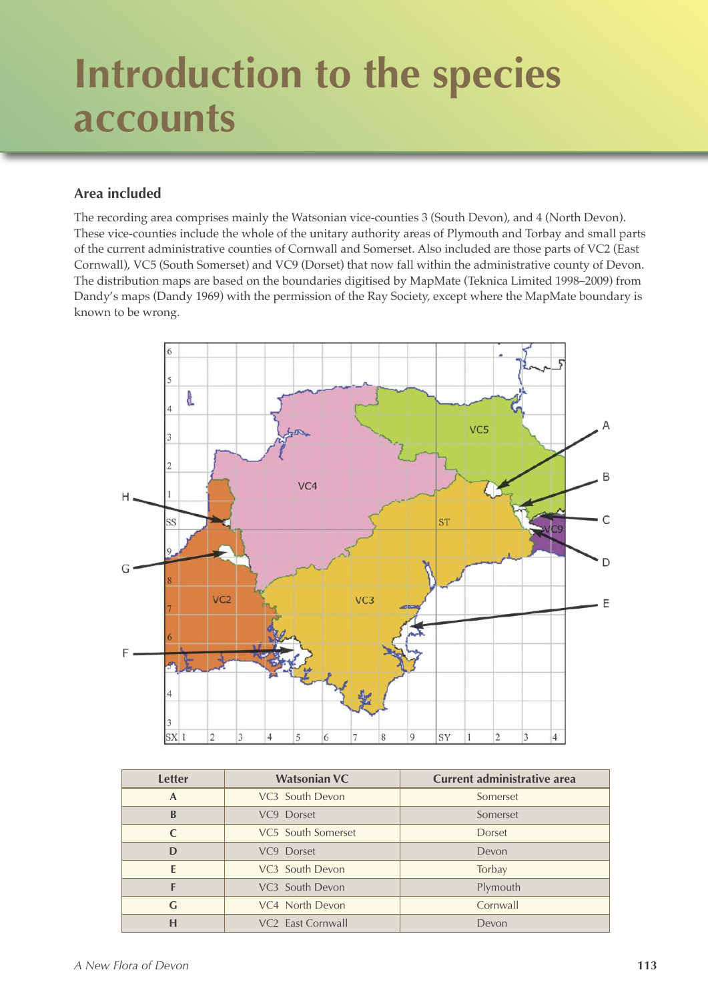# **Introduction to the species accounts**

### **Area included**

The recording area comprises mainly the Watsonian vice-counties 3 (South Devon), and 4 (North Devon). These vice-counties include the whole of the unitary authority areas of Plymouth and Torbay and small parts of the current administrative counties of Cornwall and Somerset. Also included are those parts of VC2 (East Cornwall), VC5 (South Somerset) and VC9 (Dorset) that now fall within the administrative county of Devon. The distribution maps are based on the boundaries digitised by MapMate (Teknica Limited 1998–2009) from Dandy's maps (Dandy 1969) with the permission of the Ray Society, except where the MapMate boundary is known to be wrong.



| <b>Letter</b> | <b>Watsonian VC</b>           | Current administrative area |
|---------------|-------------------------------|-----------------------------|
| $\mathbf{A}$  | VC <sub>3</sub> South Devon   | Somerset                    |
| B             | VC9 Dorset                    | Somerset                    |
|               | VC5 South Somerset            | <b>Dorset</b>               |
| D             | VC9 Dorset                    | Devon                       |
| F             | VC <sub>3</sub> South Devon   | Torbay                      |
|               | VC <sub>3</sub> South Devon   | Plymouth                    |
| G             | VC4 North Devon               | Cornwall                    |
| н             | VC <sub>2</sub> East Cornwall | Devon                       |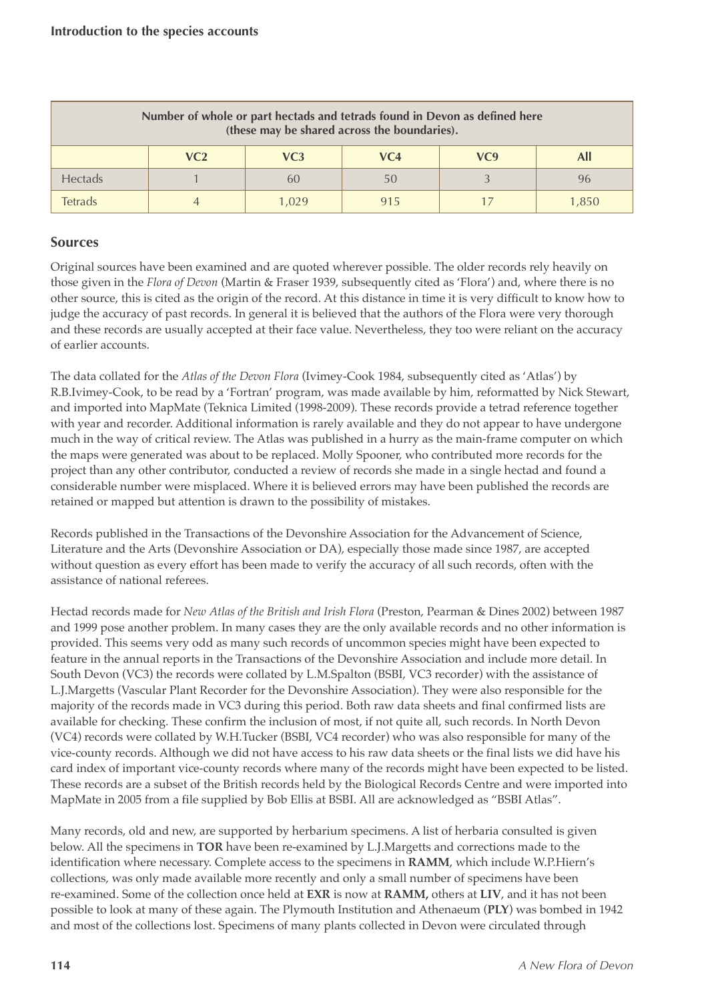| Number of whole or part hectads and tetrads found in Devon as defined here<br>(these may be shared across the boundaries). |                 |       |     |     |            |
|----------------------------------------------------------------------------------------------------------------------------|-----------------|-------|-----|-----|------------|
|                                                                                                                            | VC <sub>2</sub> | VC3   | VC4 | VC9 | <b>All</b> |
| Hectads                                                                                                                    |                 | 6()   | 50  |     | 96         |
| Tetrads                                                                                                                    |                 | L 029 | 915 |     | 1,850      |

#### **Sources**

Original sources have been examined and are quoted wherever possible. The older records rely heavily on those given in the *Flora of Devon* (Martin & Fraser 1939, subsequently cited as 'Flora') and, where there is no other source, this is cited as the origin of the record. At this distance in time it is very difficult to know how to judge the accuracy of past records. In general it is believed that the authors of the Flora were very thorough and these records are usually accepted at their face value. Nevertheless, they too were reliant on the accuracy of earlier accounts.

The data collated for the *Atlas of the Devon Flora* (Ivimey-Cook 1984, subsequently cited as 'Atlas') by R.B.Ivimey-Cook, to be read by a 'Fortran' program, was made available by him, reformatted by Nick Stewart, and imported into MapMate (Teknica Limited (1998-2009). These records provide a tetrad reference together with year and recorder. Additional information is rarely available and they do not appear to have undergone much in the way of critical review. The Atlas was published in a hurry as the main-frame computer on which the maps were generated was about to be replaced. Molly Spooner, who contributed more records for the project than any other contributor, conducted a review of records she made in a single hectad and found a considerable number were misplaced. Where it is believed errors may have been published the records are retained or mapped but attention is drawn to the possibility of mistakes.

Records published in the Transactions of the Devonshire Association for the Advancement of Science, Literature and the Arts (Devonshire Association or DA), especially those made since 1987, are accepted without question as every effort has been made to verify the accuracy of all such records, often with the assistance of national referees.

Hectad records made for *New Atlas of the British and Irish Flora* (Preston, Pearman & Dines 2002) between 1987 and 1999 pose another problem. In many cases they are the only available records and no other information is provided. This seems very odd as many such records of uncommon species might have been expected to feature in the annual reports in the Transactions of the Devonshire Association and include more detail. In South Devon (VC3) the records were collated by L.M.Spalton (BSBI, VC3 recorder) with the assistance of L.J.Margetts (Vascular Plant Recorder for the Devonshire Association). They were also responsible for the majority of the records made in VC3 during this period. Both raw data sheets and final confirmed lists are available for checking. These confirm the inclusion of most, if not quite all, such records. In North Devon (VC4) records were collated by W.H.Tucker (BSBI, VC4 recorder) who was also responsible for many of the vice-county records. Although we did not have access to his raw data sheets or the final lists we did have his card index of important vice-county records where many of the records might have been expected to be listed. These records are a subset of the British records held by the Biological Records Centre and were imported into MapMate in 2005 from a file supplied by Bob Ellis at BSBI. All are acknowledged as "BSBI Atlas".

Many records, old and new, are supported by herbarium specimens. A list of herbaria consulted is given below. All the specimens in **TOR** have been re-examined by L.J.Margetts and corrections made to the identification where necessary. Complete access to the specimens in **RAMM**, which include W.P.Hiern's collections, was only made available more recently and only a small number of specimens have been re-examined. Some of the collection once held at **EXR** is now at **RAMM,** others at **LIV**, and it has not been possible to look at many of these again. The Plymouth Institution and Athenaeum (**PLY**) was bombed in 1942 and most of the collections lost. Specimens of many plants collected in Devon were circulated through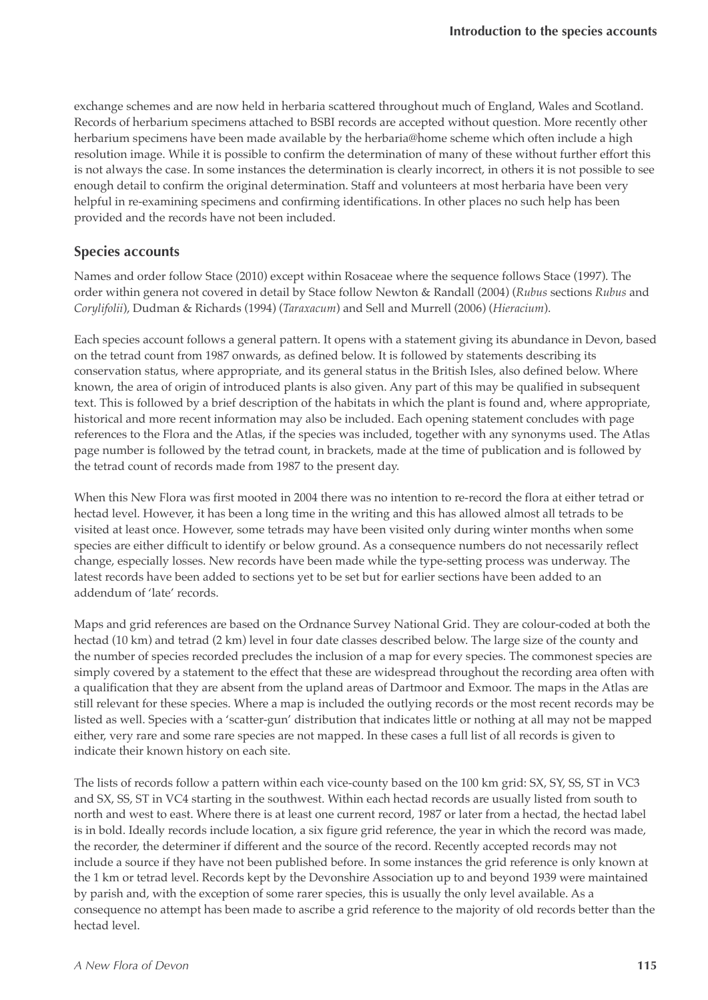exchange schemes and are now held in herbaria scattered throughout much of England, Wales and Scotland. Records of herbarium specimens attached to BSBI records are accepted without question. More recently other herbarium specimens have been made available by the herbaria@home scheme which often include a high resolution image. While it is possible to confirm the determination of many of these without further effort this is not always the case. In some instances the determination is clearly incorrect, in others it is not possible to see enough detail to confirm the original determination. Staff and volunteers at most herbaria have been very helpful in re-examining specimens and confirming identifications. In other places no such help has been provided and the records have not been included.

#### **Species accounts**

Names and order follow Stace (2010) except within Rosaceae where the sequence follows Stace (1997). The order within genera not covered in detail by Stace follow Newton & Randall (2004) (*Rubus* sections *Rubus* and *Corylifolii*), Dudman & Richards (1994) (*Taraxacum*) and Sell and Murrell (2006) (*Hieracium*).

Each species account follows a general pattern. It opens with a statement giving its abundance in Devon, based on the tetrad count from 1987 onwards, as defined below. It is followed by statements describing its conservation status, where appropriate, and its general status in the British Isles, also defined below. Where known, the area of origin of introduced plants is also given. Any part of this may be qualified in subsequent text. This is followed by a brief description of the habitats in which the plant is found and, where appropriate, historical and more recent information may also be included. Each opening statement concludes with page references to the Flora and the Atlas, if the species was included, together with any synonyms used. The Atlas page number is followed by the tetrad count, in brackets, made at the time of publication and is followed by the tetrad count of records made from 1987 to the present day.

When this New Flora was first mooted in 2004 there was no intention to re-record the flora at either tetrad or hectad level. However, it has been a long time in the writing and this has allowed almost all tetrads to be visited at least once. However, some tetrads may have been visited only during winter months when some species are either difficult to identify or below ground. As a consequence numbers do not necessarily reflect change, especially losses. New records have been made while the type-setting process was underway. The latest records have been added to sections yet to be set but for earlier sections have been added to an addendum of 'late' records.

Maps and grid references are based on the Ordnance Survey National Grid. They are colour-coded at both the hectad (10 km) and tetrad (2 km) level in four date classes described below. The large size of the county and the number of species recorded precludes the inclusion of a map for every species. The commonest species are simply covered by a statement to the effect that these are widespread throughout the recording area often with a qualification that they are absent from the upland areas of Dartmoor and Exmoor. The maps in the Atlas are still relevant for these species. Where a map is included the outlying records or the most recent records may be listed as well. Species with a 'scatter-gun' distribution that indicates little or nothing at all may not be mapped either, very rare and some rare species are not mapped. In these cases a full list of all records is given to indicate their known history on each site.

The lists of records follow a pattern within each vice-county based on the 100 km grid: SX, SY, SS, ST in VC3 and SX, SS, ST in VC4 starting in the southwest. Within each hectad records are usually listed from south to north and west to east. Where there is at least one current record, 1987 or later from a hectad, the hectad label is in bold. Ideally records include location, a six figure grid reference, the year in which the record was made, the recorder, the determiner if different and the source of the record. Recently accepted records may not include a source if they have not been published before. In some instances the grid reference is only known at the 1 km or tetrad level. Records kept by the Devonshire Association up to and beyond 1939 were maintained by parish and, with the exception of some rarer species, this is usually the only level available. As a consequence no attempt has been made to ascribe a grid reference to the majority of old records better than the hectad level.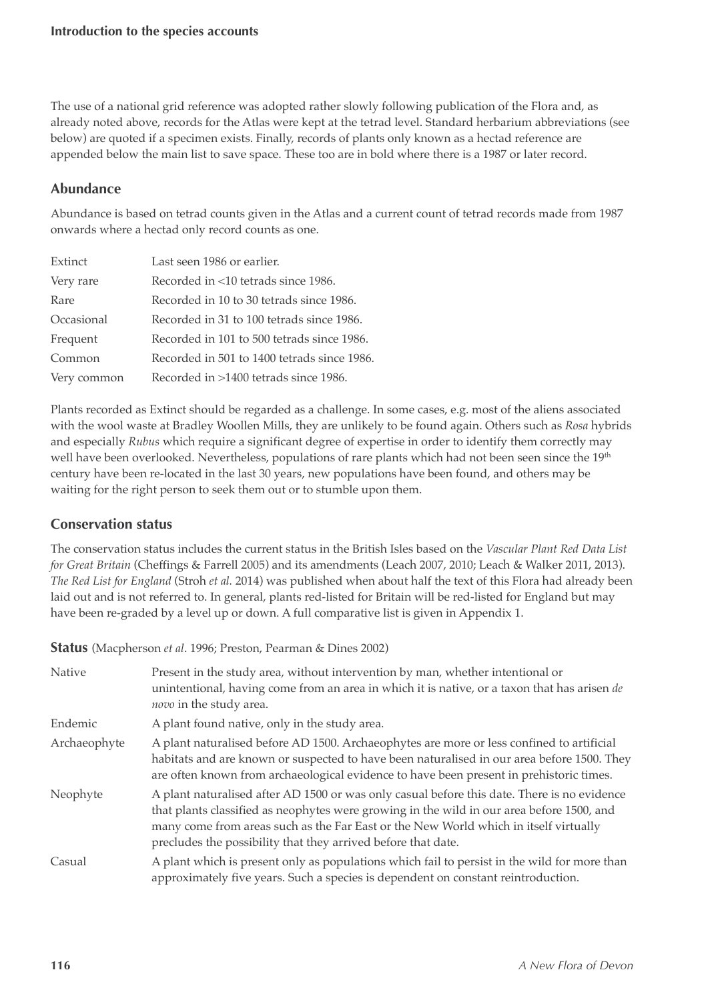The use of a national grid reference was adopted rather slowly following publication of the Flora and, as already noted above, records for the Atlas were kept at the tetrad level. Standard herbarium abbreviations (see below) are quoted if a specimen exists. Finally, records of plants only known as a hectad reference are appended below the main list to save space. These too are in bold where there is a 1987 or later record.

## **Abundance**

Abundance is based on tetrad counts given in the Atlas and a current count of tetrad records made from 1987 onwards where a hectad only record counts as one.

| Extinct     | Last seen 1986 or earlier.                  |
|-------------|---------------------------------------------|
| Very rare   | Recorded in <10 tetrads since 1986.         |
| Rare        | Recorded in 10 to 30 tetrads since 1986.    |
| Occasional  | Recorded in 31 to 100 tetrads since 1986.   |
| Frequent    | Recorded in 101 to 500 tetrads since 1986.  |
| Common      | Recorded in 501 to 1400 tetrads since 1986. |
| Very common | Recorded in >1400 tetrads since 1986.       |

Plants recorded as Extinct should be regarded as a challenge. In some cases, e.g. most of the aliens associated with the wool waste at Bradley Woollen Mills, they are unlikely to be found again. Others such as *Rosa* hybrids and especially *Rubus* which require a significant degree of expertise in order to identify them correctly may well have been overlooked. Nevertheless, populations of rare plants which had not been seen since the 19th century have been re-located in the last 30 years, new populations have been found, and others may be waiting for the right person to seek them out or to stumble upon them.

### **Conservation status**

The conservation status includes the current status in the British Isles based on the *Vascular Plant Red Data List for Great Britain* (Cheffings & Farrell 2005) and its amendments (Leach 2007, 2010; Leach & Walker 2011, 2013). *The Red List for England* (Stroh *et al.* 2014) was published when about half the text of this Flora had already been laid out and is not referred to. In general, plants red-listed for Britain will be red-listed for England but may have been re-graded by a level up or down. A full comparative list is given in Appendix 1.

**Status** (Macpherson *et al*. 1996; Preston, Pearman & Dines 2002)

| <b>Native</b> | Present in the study area, without intervention by man, whether intentional or<br>unintentional, having come from an area in which it is native, or a taxon that has arisen de<br>novo in the study area.                                                                                                                                         |
|---------------|---------------------------------------------------------------------------------------------------------------------------------------------------------------------------------------------------------------------------------------------------------------------------------------------------------------------------------------------------|
| Endemic       | A plant found native, only in the study area.                                                                                                                                                                                                                                                                                                     |
| Archaeophyte  | A plant naturalised before AD 1500. Archaeophytes are more or less confined to artificial<br>habitats and are known or suspected to have been naturalised in our area before 1500. They<br>are often known from archaeological evidence to have been present in prehistoric times.                                                                |
| Neophyte      | A plant naturalised after AD 1500 or was only casual before this date. There is no evidence<br>that plants classified as neophytes were growing in the wild in our area before 1500, and<br>many come from areas such as the Far East or the New World which in itself virtually<br>precludes the possibility that they arrived before that date. |
| Casual        | A plant which is present only as populations which fail to persist in the wild for more than<br>approximately five years. Such a species is dependent on constant reintroduction.                                                                                                                                                                 |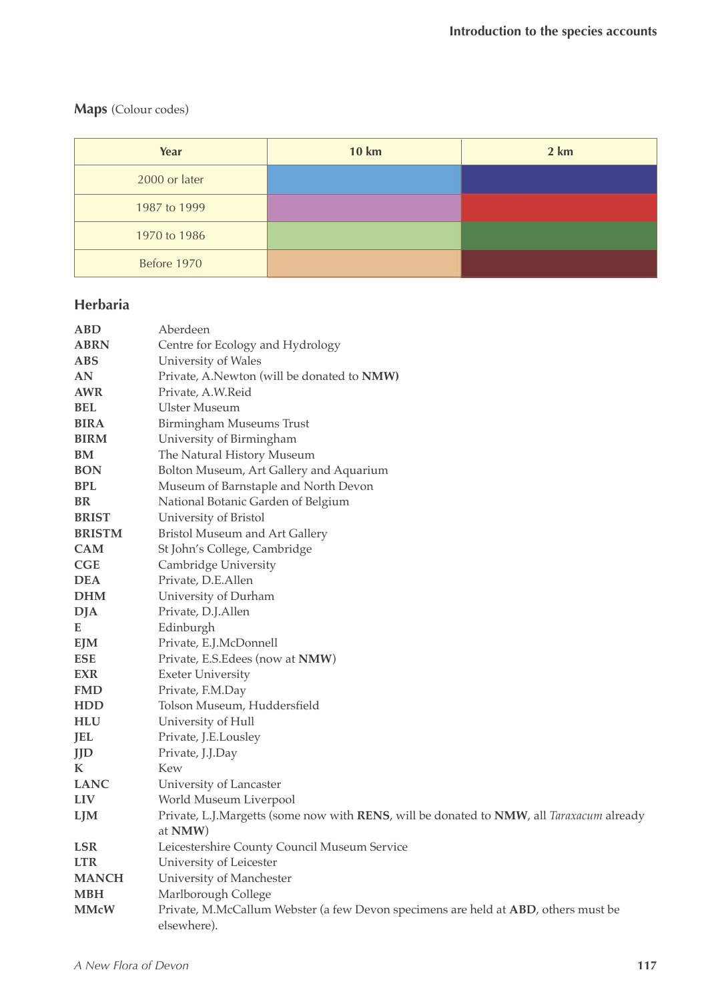## **Maps** (Colour codes)

| Year          | <b>10 km</b> | 2 km |
|---------------|--------------|------|
| 2000 or later |              |      |
| 1987 to 1999  |              |      |
| 1970 to 1986  |              |      |
| Before 1970   |              |      |

# **Herbaria**

| <b>ABD</b>    | Aberdeen                                                                                 |
|---------------|------------------------------------------------------------------------------------------|
| <b>ABRN</b>   | Centre for Ecology and Hydrology                                                         |
| <b>ABS</b>    | University of Wales                                                                      |
| AN            | Private, A.Newton (will be donated to NMW)                                               |
| <b>AWR</b>    | Private, A.W.Reid                                                                        |
| <b>BEL</b>    | <b>Ulster Museum</b>                                                                     |
| <b>BIRA</b>   | Birmingham Museums Trust                                                                 |
| <b>BIRM</b>   | University of Birmingham                                                                 |
| BM            | The Natural History Museum                                                               |
| <b>BON</b>    | Bolton Museum, Art Gallery and Aquarium                                                  |
| <b>BPL</b>    | Museum of Barnstaple and North Devon                                                     |
| <b>BR</b>     | National Botanic Garden of Belgium                                                       |
| <b>BRIST</b>  | University of Bristol                                                                    |
| <b>BRISTM</b> | Bristol Museum and Art Gallery                                                           |
| <b>CAM</b>    | St John's College, Cambridge                                                             |
| CGE           | Cambridge University                                                                     |
| <b>DEA</b>    | Private, D.E.Allen                                                                       |
| <b>DHM</b>    | University of Durham                                                                     |
| <b>DJA</b>    | Private, D.J.Allen                                                                       |
| Е             | Edinburgh                                                                                |
| <b>EJM</b>    | Private, E.J.McDonnell                                                                   |
| <b>ESE</b>    | Private, E.S. Edees (now at NMW)                                                         |
| <b>EXR</b>    | <b>Exeter University</b>                                                                 |
| <b>FMD</b>    | Private, F.M.Day                                                                         |
| HDD           | Tolson Museum, Huddersfield                                                              |
| HLU           | University of Hull                                                                       |
| <b>JEL</b>    | Private, J.E.Lousley                                                                     |
| <b>JJD</b>    | Private, J.J.Day                                                                         |
| K             | Kew                                                                                      |
| <b>LANC</b>   | University of Lancaster                                                                  |
| <b>LIV</b>    | World Museum Liverpool                                                                   |
| LJM           | Private, L.J.Margetts (some now with RENS, will be donated to NMW, all Taraxacum already |
|               | at NMW)                                                                                  |
| <b>LSR</b>    | Leicestershire County Council Museum Service                                             |
| <b>LTR</b>    | University of Leicester                                                                  |
| <b>MANCH</b>  | University of Manchester                                                                 |
| <b>MBH</b>    | Marlborough College                                                                      |
| <b>MMcW</b>   | Private, M.McCallum Webster (a few Devon specimens are held at ABD, others must be       |
|               | elsewhere).                                                                              |